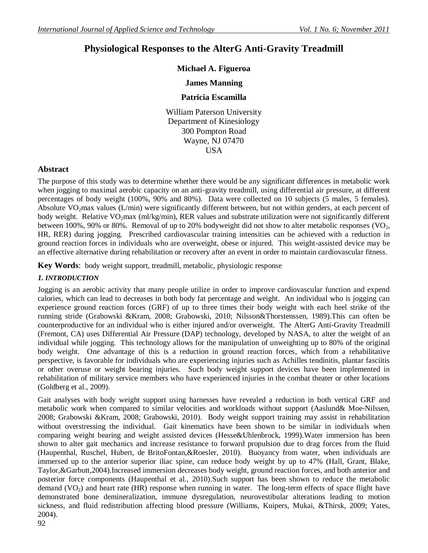# **Physiological Responses to the AlterG Anti-Gravity Treadmill**

# **Michael A. Figueroa**

# **James Manning**

### **Patricia Escamilla**

William Paterson University Department of Kinesiology 300 Pompton Road Wayne, NJ 07470 USA

### **Abstract**

The purpose of this study was to determine whether there would be any significant differences in metabolic work when jogging to maximal aerobic capacity on an anti-gravity treadmill, using differential air pressure, at different percentages of body weight (100%, 90% and 80%). Data were collected on 10 subjects (5 males, 5 females). Absolute VO<sub>2</sub>max values (L/min) were significantly different between, but not within genders, at each percent of body weight. Relative VO<sub>2</sub>max (ml/kg/min), RER values and substrate utilization were not significantly different between 100%, 90% or 80%. Removal of up to 20% bodyweight did not show to alter metabolic responses ( $\text{VO}_2$ , HR, RER) during jogging. Prescribed cardiovascular training intensities can be achieved with a reduction in ground reaction forces in individuals who are overweight, obese or injured. This weight-assisted device may be an effective alternative during rehabilitation or recovery after an event in order to maintain cardiovascular fitness.

**Key Words**:body weight support, treadmill, metabolic, physiologic response

#### *1. INTRODUCTION*

Jogging is an aerobic activity that many people utilize in order to improve cardiovascular function and expend calories, which can lead to decreases in both body fat percentage and weight. An individual who is jogging can experience ground reaction forces (GRF) of up to three times their body weight with each heel strike of the running stride (Grabowski &Kram, 2008; Grabowski, 2010; Nilsson&Thorstenssen, 1989).This can often be counterproductive for an individual who is either injured and/or overweight. The AlterG Anti-Gravity Treadmill (Fremont, CA) uses Differential Air Pressure (DAP) technology, developed by NASA, to alter the weight of an individual while jogging. This technology allows for the manipulation of unweighting up to 80% of the original body weight. One advantage of this is a reduction in ground reaction forces, which from a rehabilitative perspective, is favorable for individuals who are experiencing injuries such as Achilles tendinitis, plantar fasciitis or other overuse or weight bearing injuries. Such body weight support devices have been implemented in rehabilitation of military service members who have experienced injuries in the combat theater or other locations (Goldberg et al., 2009).

Gait analyses with body weight support using harnesses have revealed a reduction in both vertical GRF and metabolic work when compared to similar velocities and workloads without support (Aaslund& Moe-Nilssen, 2008; Grabowski &Kram, 2008; Grabowski, 2010). Body weight support training may assist in rehabilitation without overstressing the individual. Gait kinematics have been shown to be similar in individuals when comparing weight bearing and weight assisted devices (Hesse&Uhlenbrock, 1999).Water immersion has been shown to alter gait mechanics and increase resistance to forward propulsion due to drag forces from the fluid (Haupenthal, Ruschel, Hubert, de BritoFontan,&Roesler, 2010). Buoyancy from water, when individuals are immersed up to the anterior superior iliac spine, can reduce body weight by up to 47% (Hall, Grant, Blake, Taylor,&Garbutt,2004).Increased immersion decreases body weight, ground reaction forces, and both anterior and posterior force components (Haupenthal et al., 2010).Such support has been shown to reduce the metabolic demand  $(VO<sub>2</sub>)$  and heart rate  $(HR)$  response when running in water. The long-term effects of space flight have demonstrated bone demineralization, immune dysregulation, neurovestibular alterations leading to motion sickness, and fluid redistribution affecting blood pressure (Williams, Kuipers, Mukai, &Thirsk, 2009; Yates, 2004).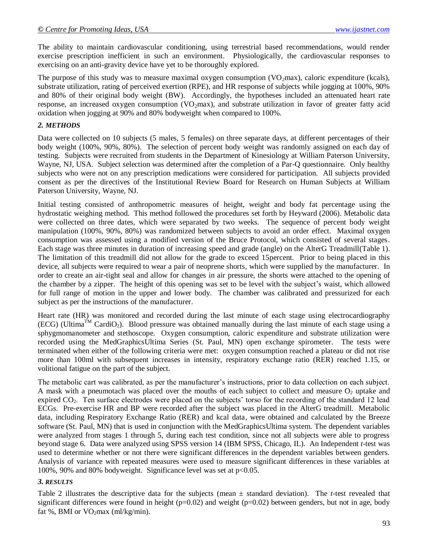The ability to maintain cardiovascular conditioning, using terrestrial based recommendations, would render exercise prescription inefficient in such an environment. Physiologically, the cardiovascular responses to exercising on an anti-gravity device have yet to be thoroughly explored.

The purpose of this study was to measure maximal oxygen consumption (VO<sub>2</sub>max), caloric expenditure (kcals), substrate utilization, rating of perceived exertion (RPE), and HR response of subjects while jogging at 100%, 90% and 80% of their original body weight (BW). Accordingly, the hypotheses included an attenuated heart rate response, an increased oxygen consumption  $(VO<sub>2</sub>max)$ , and substrate utilization in favor of greater fatty acid oxidation when jogging at 90% and 80% bodyweight when compared to 100%.

#### *2. METHODS*

Data were collected on 10 subjects (5 males, 5 females) on three separate days, at different percentages of their body weight (100%, 90%, 80%). The selection of percent body weight was randomly assigned on each day of testing. Subjects were recruited from students in the Department of Kinesiology at William Paterson University, Wayne, NJ, USA. Subject selection was determined after the completion of a Par-Q questionnaire. Only healthy subjects who were not on any prescription medications were considered for participation. All subjects provided consent as per the directives of the Institutional Review Board for Research on Human Subjects at William Paterson University, Wayne, NJ.

Initial testing consisted of anthropometric measures of height, weight and body fat percentage using the hydrostatic weighing method. This method followed the procedures set forth by Heyward (2006). Metabolic data were collected on three dates, which were separated by two weeks. The sequence of percent body weight manipulation (100%, 90%, 80%) was randomized between subjects to avoid an order effect. Maximal oxygen consumption was assessed using a modified version of the Bruce Protocol, which consisted of several stages. Each stage was three minutes in duration of increasing speed and grade (angle) on the AlterG Treadmill(Table 1). The limitation of this treadmill did not allow for the grade to exceed 15percent. Prior to being placed in this device, all subjects were required to wear a pair of neoprene shorts, which were supplied by the manufacturer. In order to create an air-tight seal and allow for changes in air pressure, the shorts were attached to the opening of the chamber by a zipper. The height of this opening was set to be level with the subject's waist, which allowed for full range of motion in the upper and lower body. The chamber was calibrated and pressurized for each subject as per the instructions of the manufacturer.

Heart rate (HR) was monitored and recorded during the last minute of each stage using electrocardiography (ECG) (Ultima<sup>TM</sup> CardiO<sub>2</sub>). Blood pressure was obtained manually during the last minute of each stage using a sphygmomanometer and stethoscope. Oxygen consumption, caloric expenditure and substrate utilization were recorded using the MedGraphicsUltima Series (St. Paul, MN) open exchange spirometer. The tests were terminated when either of the following criteria were met: oxygen consumption reached a plateau or did not rise more than 100ml with subsequent increases in intensity, respiratory exchange ratio (RER) reached 1.15, or volitional fatigue on the part of the subject.

The metabolic cart was calibrated, as per the manufacturer's instructions, prior to data collection on each subject. A mask with a pneumotach was placed over the mouths of each subject to collect and measure  $O<sub>2</sub>$  uptake and expired CO<sub>2</sub>. Ten surface electrodes were placed on the subjects' torso for the recording of the standard 12 lead ECGs. Pre-exercise HR and BP were recorded after the subject was placed in the AlterG treadmill. Metabolic data, including Respiratory Exchange Ratio (RER) and kcal data, were obtained and calculated by the Breeze software (St. Paul, MN) that is used in conjunction with the MedGraphicsUltima system. The dependent variables were analyzed from stages 1 through 5, during each test condition, since not all subjects were able to progress beyond stage 6. Data were analyzed using SPSS version 14 (IBM SPSS, Chicago, IL). An Independent *t*-test was used to determine whether or not there were significant differences in the dependent variables between genders. Analysis of variance with repeated measures were used to measure significant differences in these variables at 100%, 90% and 80% bodyweight. Significance level was set at p<0.05.

# *3. RESULTS*

Table 2 illustrates the descriptive data for the subjects (mean ± standard deviation). The *t*-test revealed that significant differences were found in height ( $p=0.02$ ) and weight ( $p=0.02$ ) between genders, but not in age, body fat %, BMI or  $VO_2$ max (ml/kg/min).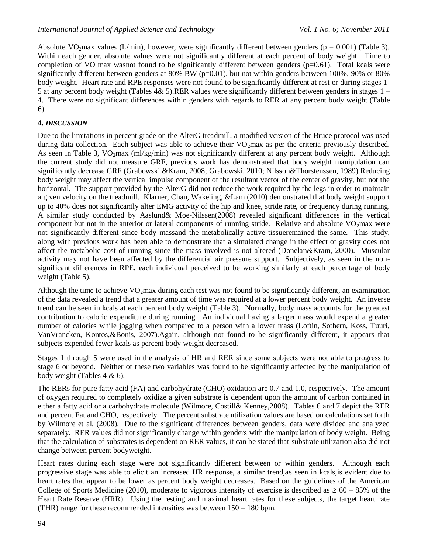Absolute VO<sub>2</sub>max values (L/min), however, were significantly different between genders ( $p = 0.001$ ) (Table 3). Within each gender, absolute values were not significantly different at each percent of body weight. Time to completion of  $VO<sub>2</sub>max$  wasnot found to be significantly different between genders (p=0.61). Total kcals were significantly different between genders at 80% BW (p=0.01), but not within genders between 100%, 90% or 80% body weight. Heart rate and RPE responses were not found to be significantly different at rest or during stages 1- 5 at any percent body weight (Tables 4& 5).RER values were significantly different between genders in stages 1 – 4. There were no significant differences within genders with regards to RER at any percent body weight (Table 6).

# **4.** *DISCUSSION*

Due to the limitations in percent grade on the AlterG treadmill, a modified version of the Bruce protocol was used during data collection. Each subject was able to achieve their  $VO_2$ max as per the criteria previously described. As seen in Table 3, VO<sub>2</sub>max (ml/kg/min) was not significantly different at any percent body weight. Although the current study did not measure GRF, previous work has demonstrated that body weight manipulation can significantly decrease GRF (Grabowski &Kram, 2008; Grabowski, 2010; Nilsson&Thorstenssen, 1989).Reducing body weight may affect the vertical impulse component of the resultant vector of the center of gravity, but not the horizontal. The support provided by the AlterG did not reduce the work required by the legs in order to maintain a given velocity on the treadmill. Klarner, Chan, Wakeling, &Lam (2010) demonstrated that body weight support up to 40% does not significantly alter EMG activity of the hip and knee, stride rate, or frequency during running. A similar study conducted by Aaslund& Moe-Nilssen(2008) revealed significant differences in the vertical component but not in the anterior or lateral components of running stride. Relative and absolute  $VO<sub>2</sub>$ max were not significantly different since body massand the metabolically active tissueremained the same. This study, along with previous work has been able to demonstrate that a simulated change in the effect of gravity does not affect the metabolic cost of running since the mass involved is not altered (Donelan&Kram, 2000). Muscular activity may not have been affected by the differential air pressure support. Subjectively, as seen in the nonsignificant differences in RPE, each individual perceived to be working similarly at each percentage of body weight (Table 5).

Although the time to achieve  $VO<sub>2</sub>max$  during each test was not found to be significantly different, an examination of the data revealed a trend that a greater amount of time was required at a lower percent body weight. An inverse trend can be seen in kcals at each percent body weight (Table 3). Normally, body mass accounts for the greatest contribution to caloric expenditure during running. An individual having a larger mass would expend a greater number of calories while jogging when compared to a person with a lower mass (Loftin, Sothern, Koss, Tuuri, VanVrancken, Kontos,&Bonis, 2007).Again, although not found to be significantly different, it appears that subjects expended fewer kcals as percent body weight decreased.

Stages 1 through 5 were used in the analysis of HR and RER since some subjects were not able to progress to stage 6 or beyond. Neither of these two variables was found to be significantly affected by the manipulation of body weight (Tables 4 & 6).

The RERs for pure fatty acid (FA) and carbohydrate (CHO) oxidation are 0.7 and 1.0, respectively. The amount of oxygen required to completely oxidize a given substrate is dependent upon the amount of carbon contained in either a fatty acid or a carbohydrate molecule (Wilmore, Costill& Kenney,2008). Tables 6 and 7 depict the RER and percent Fat and CHO, respectively. The percent substrate utilization values are based on calculations set forth by Wilmore et al. (2008). Due to the significant differences between genders, data were divided and analyzed separately. RER values did not significantly change within genders with the manipulation of body weight. Being that the calculation of substrates is dependent on RER values, it can be stated that substrate utilization also did not change between percent bodyweight.

Heart rates during each stage were not significantly different between or within genders. Although each progressive stage was able to elicit an increased HR response, a similar trend,as seen in kcals,is evident due to heart rates that appear to be lower as percent body weight decreases. Based on the guidelines of the American College of Sports Medicine (2010), moderate to vigorous intensity of exercise is described as  $\geq 60 - 85\%$  of the Heart Rate Reserve (HRR). Using the resting and maximal heart rates for these subjects, the target heart rate (THR) range for these recommended intensities was between 150 – 180 bpm.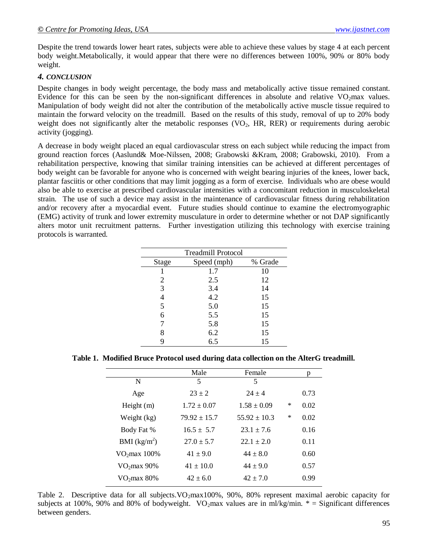Despite the trend towards lower heart rates, subjects were able to achieve these values by stage 4 at each percent body weight.Metabolically, it would appear that there were no differences between 100%, 90% or 80% body weight.

# *4. CONCLUSION*

Despite changes in body weight percentage, the body mass and metabolically active tissue remained constant. Evidence for this can be seen by the non-significant differences in absolute and relative  $VO<sub>2</sub>$ max values. Manipulation of body weight did not alter the contribution of the metabolically active muscle tissue required to maintain the forward velocity on the treadmill. Based on the results of this study, removal of up to 20% body weight does not significantly alter the metabolic responses  $(VO<sub>2</sub>, HR, RER)$  or requirements during aerobic activity (jogging).

A decrease in body weight placed an equal cardiovascular stress on each subject while reducing the impact from ground reaction forces (Aaslund& Moe-Nilssen, 2008; Grabowski &Kram, 2008; Grabowski, 2010). From a rehabilitation perspective, knowing that similar training intensities can be achieved at different percentages of body weight can be favorable for anyone who is concerned with weight bearing injuries of the knees, lower back, plantar fasciitis or other conditions that may limit jogging as a form of exercise. Individuals who are obese would also be able to exercise at prescribed cardiovascular intensities with a concomitant reduction in musculoskeletal strain. The use of such a device may assist in the maintenance of cardiovascular fitness during rehabilitation and/or recovery after a myocardial event. Future studies should continue to examine the electromyographic (EMG) activity of trunk and lower extremity musculature in order to determine whether or not DAP significantly alters motor unit recruitment patterns. Further investigation utilizing this technology with exercise training protocols is warranted.

| <b>Treadmill Protocol</b> |             |         |  |  |  |
|---------------------------|-------------|---------|--|--|--|
| Stage                     | Speed (mph) | % Grade |  |  |  |
|                           | 1.7         | 10      |  |  |  |
| 2                         | 2.5         | 12      |  |  |  |
| 3                         | 3.4         | 14      |  |  |  |
| 4                         | 4.2         | 15      |  |  |  |
| 5                         | 5.0         | 15      |  |  |  |
| 6                         | 5.5         | 15      |  |  |  |
| 7                         | 5.8         | 15      |  |  |  |
| 8                         | 6.2         | 15      |  |  |  |
| 9                         | 6.5         | 15      |  |  |  |
|                           |             |         |  |  |  |

**Table 1. Modified Bruce Protocol used during data collection on the AlterG treadmill.**

|                  | Female           |        |      |
|------------------|------------------|--------|------|
| 5                | 5                |        |      |
| $23 + 2$         | $24 \pm 4$       |        | 0.73 |
| $1.72 \pm 0.07$  | $1.58 \pm 0.09$  | ∗      | 0.02 |
| $79.92 \pm 15.7$ | $55.92 \pm 10.3$ | $\ast$ | 0.02 |
| $16.5 \pm 5.7$   | $23.1 + 7.6$     |        | 0.16 |
| $27.0 \pm 5.7$   | $22.1 + 2.0$     |        | 0.11 |
| $41 \pm 9.0$     | $44 \pm 8.0$     |        | 0.60 |
| $41 \pm 10.0$    | $44 \pm 9.0$     |        | 0.57 |
| $42 + 6.0$       | $42 + 7.0$       |        | 0.99 |
|                  |                  |        |      |

Table 2. Descriptive data for all subjects. VO<sub>2</sub>max100%, 90%, 80% represent maximal aerobic capacity for subjects at 100%, 90% and 80% of bodyweight. VO<sub>2</sub>max values are in ml/kg/min.  $* =$  Significant differences between genders.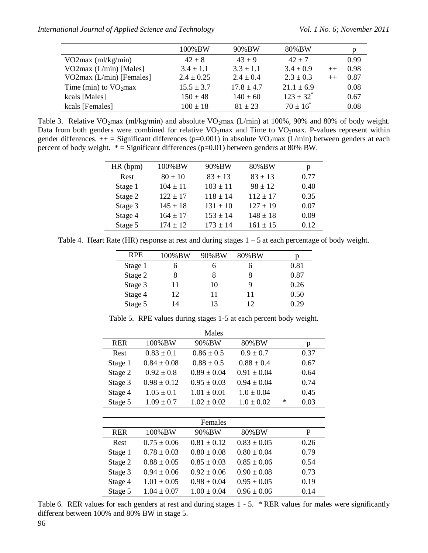|                            | 100%BW         | 90%BW          | 80%BW          |         |      |
|----------------------------|----------------|----------------|----------------|---------|------|
| $VO2max$ (ml/kg/min)       | $42 + 8$       | $43 + 9$       | $42 + 7$       |         | 0.99 |
| VO2max $(L/min)$ [Males]   | $3.4 \pm 1.1$  | $3.3 \pm 1.1$  | $3.4 \pm 0.9$  | $++$    | 0.98 |
| VO2max $(L/min)$ [Females] | $2.4 \pm 0.25$ | $2.4 \pm 0.4$  | $2.3 \pm 0.3$  | $^{++}$ | 0.87 |
| Time (min) to $VO2max$     | $15.5 \pm 3.7$ | $17.8 \pm 4.7$ | $21.1 \pm 6.9$ |         | 0.08 |
| kcals [Males]              | $150 \pm 48$   | $140 \pm 60$   | $123 \pm 32^*$ |         | 0.67 |
| kcals [Females]            | $100 \pm 18$   | $81 + 23$      | $70 \pm 16^*$  |         | 0.08 |

Table 3. Relative VO<sub>2</sub>max (ml/kg/min) and absolute VO<sub>2</sub>max (L/min) at 100%, 90% and 80% of body weight. Data from both genders were combined for relative  $VO<sub>2</sub>max$  and Time to  $VO<sub>2</sub>max$ . P-values represent within gender differences.  $++$  = Significant differences (p=0.001) in absolute VO<sub>2</sub>max (L/min) between genders at each percent of body weight.  $* =$  Significant differences (p=0.01) between genders at 80% BW.

| HR (bpm) | 100%BW       | 90%BW        | 80%BW        | р    |
|----------|--------------|--------------|--------------|------|
| Rest     | $80 \pm 10$  | $83 \pm 13$  | $83 \pm 13$  | 0.77 |
| Stage 1  | $104 \pm 11$ | $103 \pm 11$ | $98 \pm 12$  | 0.40 |
| Stage 2  | $122 \pm 17$ | $118 \pm 14$ | $112 \pm 17$ | 0.35 |
| Stage 3  | $145 \pm 18$ | $131 \pm 10$ | $127 \pm 19$ | 0.07 |
| Stage 4  | $164 \pm 17$ | $153 \pm 14$ | $148 \pm 18$ | 0.09 |
| Stage 5  | $174 + 12$   | $173 \pm 14$ | $161 \pm 15$ | 0.12 |

Table 4. Heart Rate (HR) response at rest and during stages 1 – 5 at each percentage of body weight.

| <b>RPE</b> | 100%BW  | 90%BW | 80%BW |      |
|------------|---------|-------|-------|------|
| Stage 1    |         |       |       | 0.81 |
| Stage 2    |         |       |       | 0.87 |
| Stage 3    | 11      | 10    |       | 0.26 |
| Stage 4    | $12 \,$ |       | 11    | 0.50 |
| Stage 5    | 14      | 13    | 12    | 0.29 |

Table 5. RPE values during stages 1-5 at each percent body weight.

|            |                 | Males           |                 |   |      |
|------------|-----------------|-----------------|-----------------|---|------|
| <b>RER</b> | 100%BW          | 90%BW           | 80%BW           |   | p    |
| Rest       | $0.83 \pm 0.1$  | $0.86 \pm 0.5$  | $0.9 \pm 0.7$   |   | 0.37 |
| Stage 1    | $0.84 \pm 0.08$ | $0.88 \pm 0.5$  | $0.88 \pm 0.4$  |   | 0.67 |
| Stage 2    | $0.92 \pm 0.8$  | $0.89 \pm 0.04$ | $0.91 \pm 0.04$ |   | 0.64 |
| Stage 3    | $0.98 \pm 0.12$ | $0.95 \pm 0.03$ | $0.94 \pm 0.04$ |   | 0.74 |
| Stage 4    | $1.05 \pm 0.1$  | $1.01 \pm 0.01$ | $1.0 \pm 0.04$  |   | 0.45 |
| Stage 5    | $1.09 \pm 0.7$  | $1.02 \pm 0.02$ | $1.0 \pm 0.02$  | ∗ | 0.03 |
|            |                 |                 |                 |   |      |
|            |                 | Females         |                 |   |      |
| <b>RER</b> | 100%BW          | 90%BW           | 80%BW           |   | P    |
| Rest       | $0.75 \pm 0.06$ | $0.81 \pm 0.12$ | $0.83 \pm 0.05$ |   | 0.26 |
| Stage 1    | $0.78 \pm 0.03$ | $0.80 \pm 0.08$ | $0.80 \pm 0.04$ |   | 0.79 |
| Stage 2    | $0.88 \pm 0.05$ | $0.85 \pm 0.03$ | $0.85 \pm 0.06$ |   | 0.54 |
| Stage 3    | $0.94 \pm 0.06$ | $0.92 \pm 0.06$ | $0.90 \pm 0.08$ |   | 0.73 |
| Stage 4    | $1.01 \pm 0.05$ | $0.98 \pm 0.04$ | $0.95 \pm 0.05$ |   | 0.19 |
| Stage 5    | $1.04 \pm 0.07$ | $1.00 \pm 0.04$ | $0.96 \pm 0.06$ |   | 0.14 |

Table 6. RER values for each genders at rest and during stages 1 - 5. \* RER values for males were significantly different between 100% and 80% BW in stage 5.